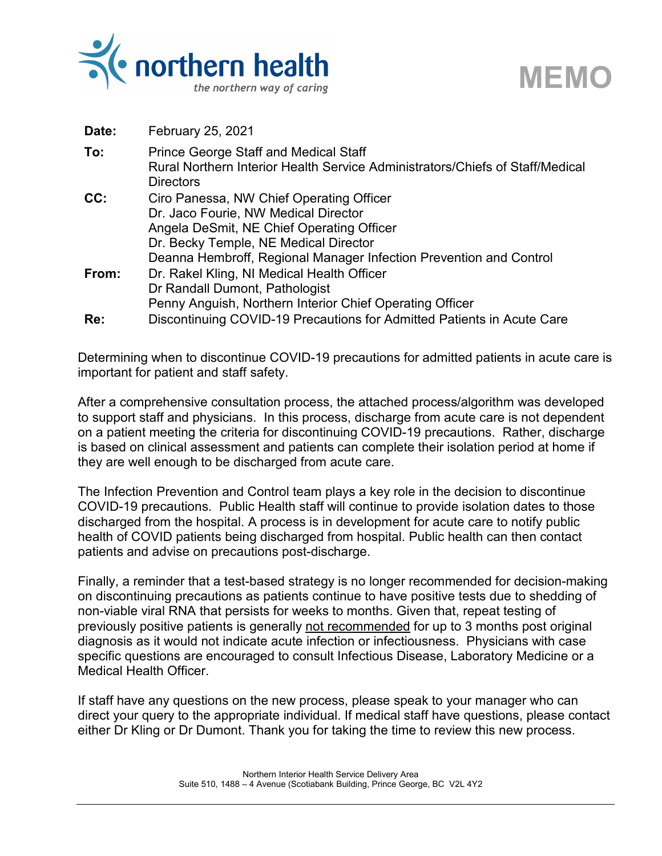

| Date: | <b>February 25, 2021</b>                                                                                                                                                                                                                     |
|-------|----------------------------------------------------------------------------------------------------------------------------------------------------------------------------------------------------------------------------------------------|
| To:   | <b>Prince George Staff and Medical Staff</b><br>Rural Northern Interior Health Service Administrators/Chiefs of Staff/Medical<br><b>Directors</b>                                                                                            |
| CC:   | Ciro Panessa, NW Chief Operating Officer<br>Dr. Jaco Fourie, NW Medical Director<br>Angela DeSmit, NE Chief Operating Officer<br>Dr. Becky Temple, NE Medical Director<br>Deanna Hembroff, Regional Manager Infection Prevention and Control |
| From: | Dr. Rakel Kling, NI Medical Health Officer<br>Dr Randall Dumont, Pathologist<br>Penny Anguish, Northern Interior Chief Operating Officer                                                                                                     |
| Re:   | Discontinuing COVID-19 Precautions for Admitted Patients in Acute Care                                                                                                                                                                       |

**MEMO**

Determining when to discontinue COVID-19 precautions for admitted patients in acute care is important for patient and staff safety.

After a comprehensive consultation process, the attached process/algorithm was developed to support staff and physicians. In this process, discharge from acute care is not dependent on a patient meeting the criteria for discontinuing COVID-19 precautions. Rather, discharge is based on clinical assessment and patients can complete their isolation period at home if they are well enough to be discharged from acute care.

The Infection Prevention and Control team plays a key role in the decision to discontinue COVID-19 precautions. Public Health staff will continue to provide isolation dates to those discharged from the hospital. A process is in development for acute care to notify public health of COVID patients being discharged from hospital. Public health can then contact patients and advise on precautions post-discharge.

Finally, a reminder that a test-based strategy is no longer recommended for decision-making on discontinuing precautions as patients continue to have positive tests due to shedding of non-viable viral RNA that persists for weeks to months. Given that, repeat testing of previously positive patients is generally not recommended for up to 3 months post original diagnosis as it would not indicate acute infection or infectiousness. Physicians with case specific questions are encouraged to consult Infectious Disease, Laboratory Medicine or a Medical Health Officer.

If staff have any questions on the new process, please speak to your manager who can direct your query to the appropriate individual. If medical staff have questions, please contact either Dr Kling or Dr Dumont. Thank you for taking the time to review this new process.